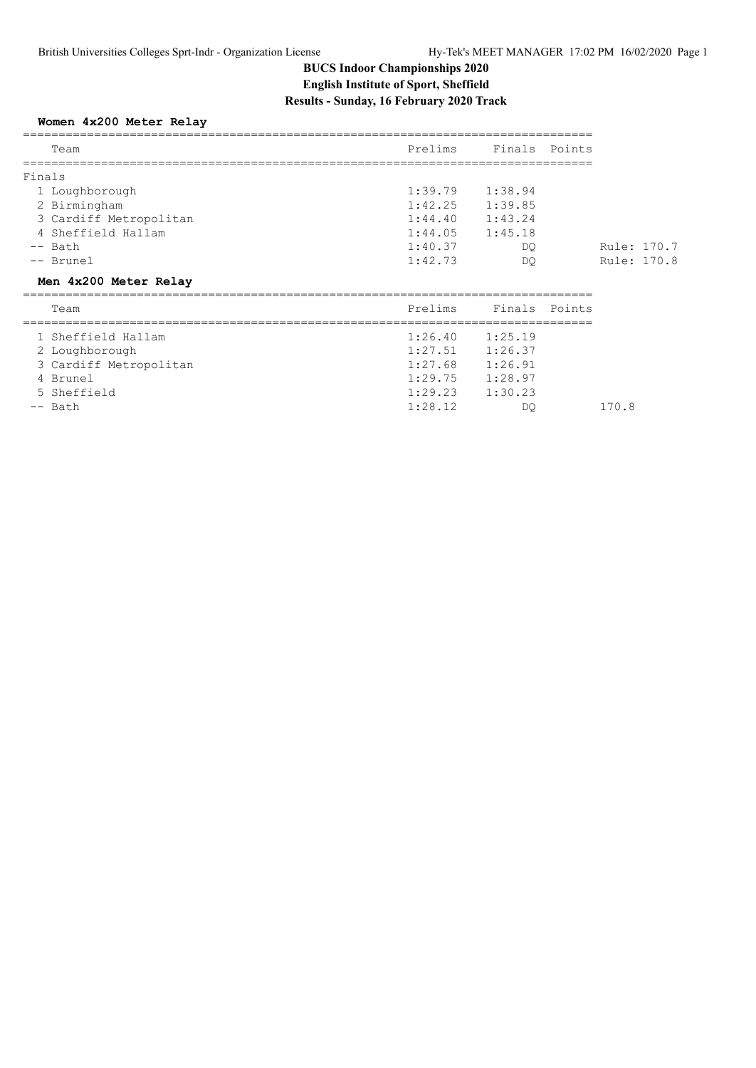## **BUCS Indoor Championships 2020 English Institute of Sport, Sheffield Results - Sunday, 16 February 2020 Track**

### **Women 4x200 Meter Relay**

| Team                   | Prelims             | Finals Points |             |  |
|------------------------|---------------------|---------------|-------------|--|
| Finals                 |                     |               |             |  |
| 1 Loughborough         | $1:39.79$ $1:38.94$ |               |             |  |
| 2 Birmingham           | $1:42.25$ $1:39.85$ |               |             |  |
| 3 Cardiff Metropolitan | 1:44.40             | 1:43.24       |             |  |
| 4 Sheffield Hallam     | $1:44.05$ $1:45.18$ |               |             |  |
| $--$ Bath              | 1:40.37             | DO.           | Rule: 170.7 |  |
| -- Brunel              | 1:42.73             | DO            | Rule: 170.8 |  |
| Men 4x200 Meter Relay  |                     |               |             |  |
| Team                   | Prelims             | Finals Points |             |  |
| 1 Sheffield Hallam     | $1:26.40$ $1:25.19$ |               |             |  |
| 2 Loughborough         | $1:27.51$ $1:26.37$ |               |             |  |

3 Cardiff Metropolitan 1:27.68 1:26.91<br>4 Brunel 1:29.75 1:28.97

4 Brunel 1:29.75 1:28.97

5 Sheffield 1:29.23 1:30.23

-- Bath 1:28.12 DQ 170.8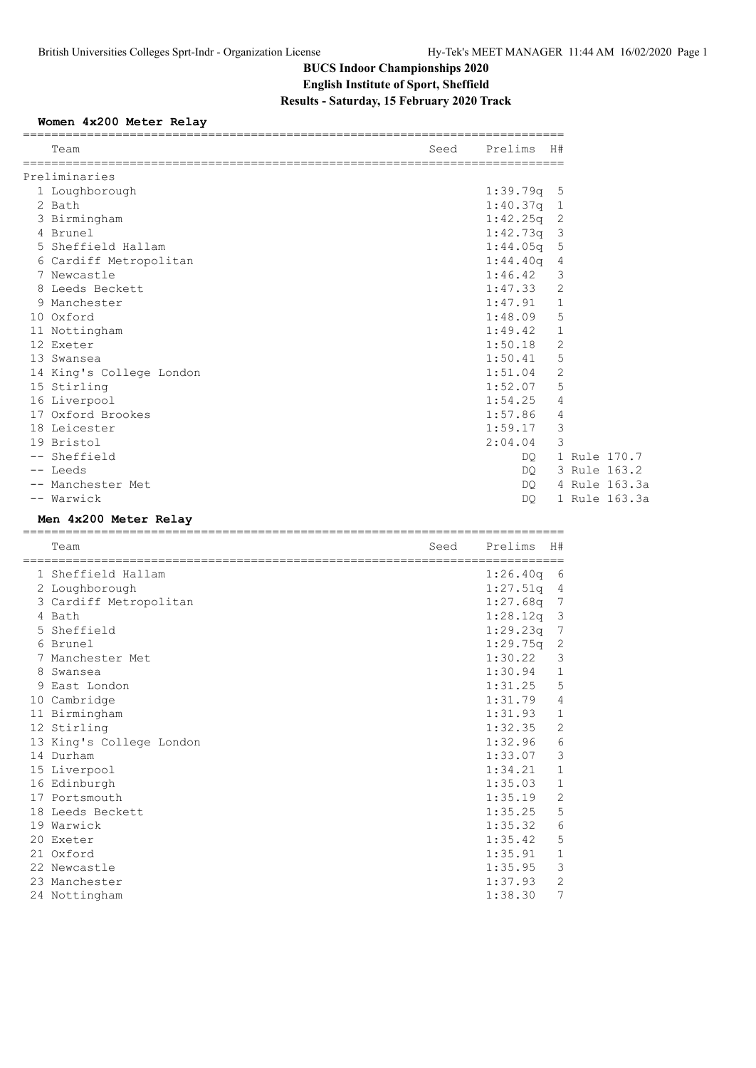# **BUCS Indoor Championships 2020 English Institute of Sport, Sheffield Results - Saturday, 15 February 2020 Track**

## **Women 4x200 Meter Relay**

| Prelims<br>Seed<br>H#<br>Team<br>=============================<br>-----------------------------<br>Preliminaries<br>$1:39.79q$ 5<br>1 Loughborough<br>$1:40.37q$ 1<br>2 Bath<br>$1:42.25q$ 2<br>3 Birmingham<br>$1:42.73q$ 3<br>4 Brunel<br>$1:44.05q$ 5<br>5 Sheffield Hallam<br>1:44.40q<br>6 Cardiff Metropolitan<br>4<br>3<br>7 Newcastle<br>1:46.42<br>2<br>1:47.33<br>8 Leeds Beckett<br>1:47.91<br>1<br>9 Manchester<br>5<br>10 Oxford<br>1:48.09<br>$\mathbf 1$<br>11 Nottingham<br>1:49.42<br>2<br>1:50.18<br>12 Exeter<br>1:50.41<br>5<br>13 Swansea<br>2<br>1:51.04<br>14 King's College London<br>5<br>15 Stirling<br>1:52.07<br>16 Liverpool<br>1:54.25<br>4<br>17 Oxford Brookes<br>1:57.86<br>4<br>3<br>18 Leicester<br>1:59.17<br>3<br>19 Bristol<br>2:04.04<br>-- Sheffield<br>1 Rule 170.7<br>DQ —<br>3 Rule 163.2<br>-- Leeds<br>DO<br>4 Rule 163.3a<br>-- Manchester Met<br>DO<br>-- Warwick<br>1 Rule 163.3a<br>DO |  |  |  |  |
|-----------------------------------------------------------------------------------------------------------------------------------------------------------------------------------------------------------------------------------------------------------------------------------------------------------------------------------------------------------------------------------------------------------------------------------------------------------------------------------------------------------------------------------------------------------------------------------------------------------------------------------------------------------------------------------------------------------------------------------------------------------------------------------------------------------------------------------------------------------------------------------------------------------------------------------------|--|--|--|--|
|                                                                                                                                                                                                                                                                                                                                                                                                                                                                                                                                                                                                                                                                                                                                                                                                                                                                                                                                         |  |  |  |  |
|                                                                                                                                                                                                                                                                                                                                                                                                                                                                                                                                                                                                                                                                                                                                                                                                                                                                                                                                         |  |  |  |  |
|                                                                                                                                                                                                                                                                                                                                                                                                                                                                                                                                                                                                                                                                                                                                                                                                                                                                                                                                         |  |  |  |  |
|                                                                                                                                                                                                                                                                                                                                                                                                                                                                                                                                                                                                                                                                                                                                                                                                                                                                                                                                         |  |  |  |  |
|                                                                                                                                                                                                                                                                                                                                                                                                                                                                                                                                                                                                                                                                                                                                                                                                                                                                                                                                         |  |  |  |  |
|                                                                                                                                                                                                                                                                                                                                                                                                                                                                                                                                                                                                                                                                                                                                                                                                                                                                                                                                         |  |  |  |  |
|                                                                                                                                                                                                                                                                                                                                                                                                                                                                                                                                                                                                                                                                                                                                                                                                                                                                                                                                         |  |  |  |  |
|                                                                                                                                                                                                                                                                                                                                                                                                                                                                                                                                                                                                                                                                                                                                                                                                                                                                                                                                         |  |  |  |  |
|                                                                                                                                                                                                                                                                                                                                                                                                                                                                                                                                                                                                                                                                                                                                                                                                                                                                                                                                         |  |  |  |  |
|                                                                                                                                                                                                                                                                                                                                                                                                                                                                                                                                                                                                                                                                                                                                                                                                                                                                                                                                         |  |  |  |  |
|                                                                                                                                                                                                                                                                                                                                                                                                                                                                                                                                                                                                                                                                                                                                                                                                                                                                                                                                         |  |  |  |  |
|                                                                                                                                                                                                                                                                                                                                                                                                                                                                                                                                                                                                                                                                                                                                                                                                                                                                                                                                         |  |  |  |  |
|                                                                                                                                                                                                                                                                                                                                                                                                                                                                                                                                                                                                                                                                                                                                                                                                                                                                                                                                         |  |  |  |  |
|                                                                                                                                                                                                                                                                                                                                                                                                                                                                                                                                                                                                                                                                                                                                                                                                                                                                                                                                         |  |  |  |  |
|                                                                                                                                                                                                                                                                                                                                                                                                                                                                                                                                                                                                                                                                                                                                                                                                                                                                                                                                         |  |  |  |  |
|                                                                                                                                                                                                                                                                                                                                                                                                                                                                                                                                                                                                                                                                                                                                                                                                                                                                                                                                         |  |  |  |  |
|                                                                                                                                                                                                                                                                                                                                                                                                                                                                                                                                                                                                                                                                                                                                                                                                                                                                                                                                         |  |  |  |  |
|                                                                                                                                                                                                                                                                                                                                                                                                                                                                                                                                                                                                                                                                                                                                                                                                                                                                                                                                         |  |  |  |  |
|                                                                                                                                                                                                                                                                                                                                                                                                                                                                                                                                                                                                                                                                                                                                                                                                                                                                                                                                         |  |  |  |  |
|                                                                                                                                                                                                                                                                                                                                                                                                                                                                                                                                                                                                                                                                                                                                                                                                                                                                                                                                         |  |  |  |  |
|                                                                                                                                                                                                                                                                                                                                                                                                                                                                                                                                                                                                                                                                                                                                                                                                                                                                                                                                         |  |  |  |  |
|                                                                                                                                                                                                                                                                                                                                                                                                                                                                                                                                                                                                                                                                                                                                                                                                                                                                                                                                         |  |  |  |  |
|                                                                                                                                                                                                                                                                                                                                                                                                                                                                                                                                                                                                                                                                                                                                                                                                                                                                                                                                         |  |  |  |  |
|                                                                                                                                                                                                                                                                                                                                                                                                                                                                                                                                                                                                                                                                                                                                                                                                                                                                                                                                         |  |  |  |  |
|                                                                                                                                                                                                                                                                                                                                                                                                                                                                                                                                                                                                                                                                                                                                                                                                                                                                                                                                         |  |  |  |  |
|                                                                                                                                                                                                                                                                                                                                                                                                                                                                                                                                                                                                                                                                                                                                                                                                                                                                                                                                         |  |  |  |  |

#### **Men 4x200 Meter Relay**

|   | Team                       | Seed | Prelims  | H#                      |
|---|----------------------------|------|----------|-------------------------|
|   | -------------------------- |      |          |                         |
|   | 1 Sheffield Hallam         |      | 1:26.40q | 6                       |
|   | 2 Loughborough             |      | 1:27.51q | 4                       |
|   | 3 Cardiff Metropolitan     |      | 1:27.68q | 7                       |
|   | 4 Bath                     |      | 1:28.12q | $\overline{\mathbf{3}}$ |
|   | 5 Sheffield                |      | 1:29.23q | 7                       |
|   | 6 Brunel                   |      | 1:29.75q | 2                       |
|   | 7 Manchester Met           |      | 1:30.22  | 3                       |
| 8 | Swansea                    |      | 1:30.94  | 1                       |
|   | 9 East London              |      | 1:31.25  | 5                       |
|   | 10 Cambridge               |      | 1:31.79  | 4                       |
|   | 11 Birmingham              |      | 1:31.93  | 1                       |
|   | 12 Stirling                |      | 1:32.35  | $\overline{2}$          |
|   | 13 King's College London   |      | 1:32.96  | 6                       |
|   | 14 Durham                  |      | 1:33.07  | 3                       |
|   | 15 Liverpool               |      | 1:34.21  | $\mathbf{1}$            |
|   | 16 Edinburgh               |      | 1:35.03  | 1                       |
|   | 17 Portsmouth              |      | 1:35.19  | $\mathbf{2}$            |
|   | 18 Leeds Beckett           |      | 1:35.25  | 5                       |
|   | 19 Warwick                 |      | 1:35.32  | 6                       |
|   | 20 Exeter                  |      | 1:35.42  | 5                       |
|   | 21 Oxford                  |      | 1:35.91  | $\mathbf{1}$            |
|   | 22 Newcastle               |      | 1:35.95  | 3                       |
|   | 23 Manchester              |      | 1:37.93  | 2                       |
|   | 24 Nottingham              |      | 1:38.30  | 7                       |